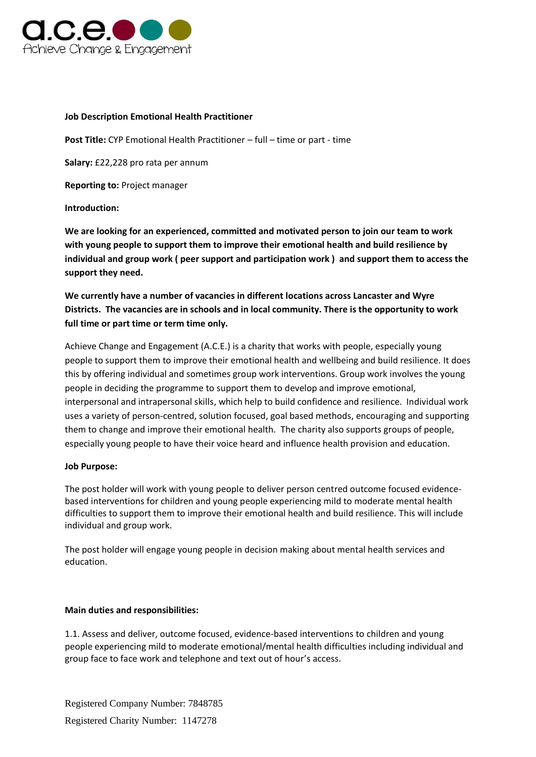

## **Job Description Emotional Health Practitioner**

**Post Title:** CYP Emotional Health Practitioner – full – time or part - time

**Salary:** £22,228 pro rata per annum

**Reporting to:** Project manager

**Introduction:**

**We are looking for an experienced, committed and motivated person to join our team to work with young people to support them to improve their emotional health and build resilience by individual and group work ( peer support and participation work ) and support them to access the support they need.**

**We currently have a number of vacancies in different locations across Lancaster and Wyre Districts. The vacancies are in schools and in local community. There is the opportunity to work full time or part time or term time only.**

Achieve Change and Engagement (A.C.E.) is a charity that works with people, especially young people to support them to improve their emotional health and wellbeing and build resilience. It does this by offering individual and sometimes group work interventions. Group work involves the young people in deciding the programme to support them to develop and improve emotional, interpersonal and intrapersonal skills, which help to build confidence and resilience. Individual work uses a variety of person-centred, solution focused, goal based methods, encouraging and supporting them to change and improve their emotional health. The charity also supports groups of people, especially young people to have their voice heard and influence health provision and education.

## **Job Purpose:**

The post holder will work with young people to deliver person centred outcome focused evidencebased interventions for children and young people experiencing mild to moderate mental health difficulties to support them to improve their emotional health and build resilience. This will include individual and group work.

The post holder will engage young people in decision making about mental health services and education.

## **Main duties and responsibilities:**

1.1. Assess and deliver, outcome focused, evidence-based interventions to children and young people experiencing mild to moderate emotional/mental health difficulties including individual and group face to face work and telephone and text out of hour's access.

Registered Company Number: 7848785 Registered Charity Number: 1147278